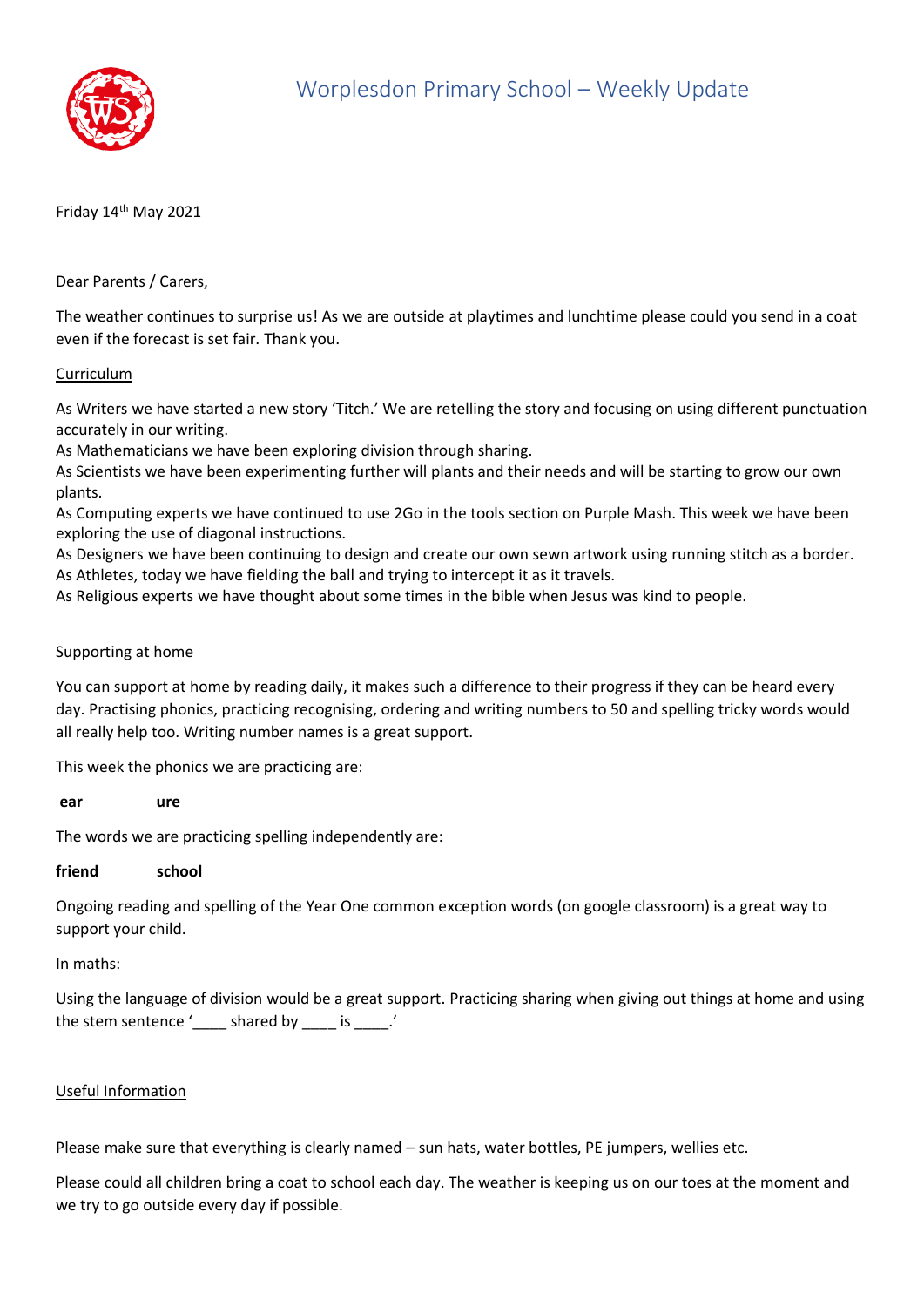

Friday 14<sup>th</sup> May 2021

Dear Parents / Carers,

The weather continues to surprise us! As we are outside at playtimes and lunchtime please could you send in a coat even if the forecast is set fair. Thank you.

## Curriculum

As Writers we have started a new story 'Titch.' We are retelling the story and focusing on using different punctuation accurately in our writing.

As Mathematicians we have been exploring division through sharing.

As Scientists we have been experimenting further will plants and their needs and will be starting to grow our own plants.

As Computing experts we have continued to use 2Go in the tools section on Purple Mash. This week we have been exploring the use of diagonal instructions.

As Designers we have been continuing to design and create our own sewn artwork using running stitch as a border. As Athletes, today we have fielding the ball and trying to intercept it as it travels.

As Religious experts we have thought about some times in the bible when Jesus was kind to people.

## Supporting at home

You can support at home by reading daily, it makes such a difference to their progress if they can be heard every day. Practising phonics, practicing recognising, ordering and writing numbers to 50 and spelling tricky words would all really help too. Writing number names is a great support.

This week the phonics we are practicing are:

**ear ure** 

The words we are practicing spelling independently are:

## **friend school**

Ongoing reading and spelling of the Year One common exception words (on google classroom) is a great way to support your child.

In maths:

Using the language of division would be a great support. Practicing sharing when giving out things at home and using the stem sentence '\_\_\_\_ shared by \_\_\_\_ is \_\_\_\_.'

## Useful Information

Please make sure that everything is clearly named – sun hats, water bottles, PE jumpers, wellies etc.

Please could all children bring a coat to school each day. The weather is keeping us on our toes at the moment and we try to go outside every day if possible.